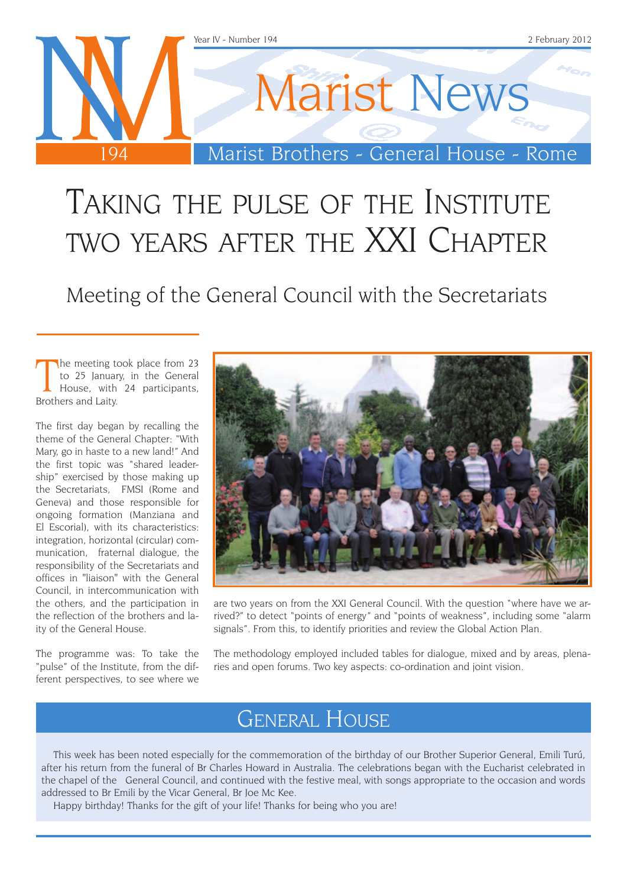

## TAKING THE PULSE OF THE INSTITUTE two years after the XXI Chapter

Meeting of the General Council with the Secretariats

The meeting to<br>to 25 Januar<br>House, with<br>Brothers and Laity. he meeting took place from 23 to 25 January, in the General House, with 24 participants,

The first day began by recalling the theme of the General Chapter: "With Mary, go in haste to a new land!" And the first topic was "shared leadership" exercised by those making up the Secretariats, FMSI (Rome and Geneva) and those responsible for ongoing formation (Manziana and El Escorial), with its characteristics: integration, horizontal (circular) communication, fraternal dialogue, the responsibility of the Secretariats and offices in "liaison" with the General Council, in intercommunication with the others, and the participation in the reflection of the brothers and laity of the General House.

The programme was: To take the "pulse" of the Institute, from the different perspectives, to see where we



are two years on from the XXI General Council. With the question "where have we arrived?" to detect "points of energy" and "points of weakness", including some "alarm signals". From this, to identify priorities and review the Global Action Plan.

The methodology employed included tables for dialogue, mixed and by areas, plenaries and open forums. Two key aspects: co-ordination and joint vision.

### General House

This week has been noted especially for the commemoration of the birthday of our Brother Superior General, Emili Turú, after his return from the funeral of Br Charles Howard in Australia. The celebrations began with the Eucharist celebrated in the chapel of the General Council, and continued with the festive meal, with songs appropriate to the occasion and words addressed to Br Emili by the Vicar General, Br Joe Mc Kee.

Happy birthday! Thanks for the gift of your life! Thanks for being who you are!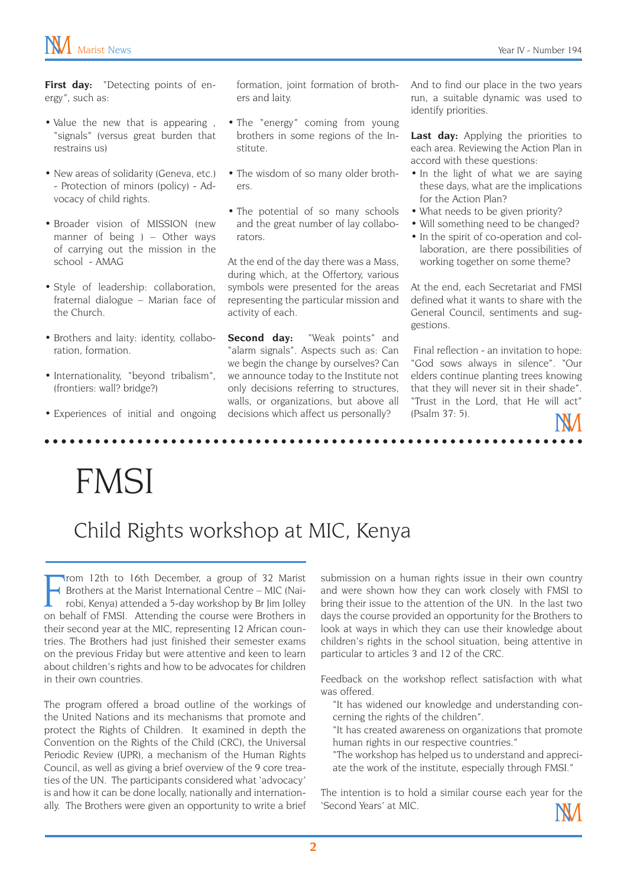First day: "Detecting points of energy", such as:

- Value the new that is appearing, "signals" (versus great burden that restrains us)
- New areas of solidarity (Geneva, etc.) - Protection of minors (policy) - Advocacy of child rights.
- Broader vision of MISSION (new manner of being ) – Other ways of carrying out the mission in the school - AMAG
- Style of leadership: collaboration, fraternal dialogue – Marian face of the Church.
- Brothers and laity: identity, collaboration, formation.
- Internationality, "beyond tribalism", (frontiers: wall? bridge?)
- Experiences of initial and ongoing

formation, joint formation of brothers and laity.

- The "energy" coming from young brothers in some regions of the Institute.
- The wisdom of so many older brothers.
- The potential of so many schools and the great number of lay collaborators.

At the end of the day there was a Mass, during which, at the Offertory, various symbols were presented for the areas representing the particular mission and activity of each.

**Second day:** "Weak points" and "alarm signals". Aspects such as: Can we begin the change by ourselves? Can we announce today to the Institute not only decisions referring to structures, walls, or organizations, but above all decisions which affect us personally?

. . . . . . . . . . . .

And to find our place in the two years run, a suitable dynamic was used to identify priorities.

Last day: Applying the priorities to each area. Reviewing the Action Plan in accord with these questions:

- In the light of what we are saying these days, what are the implications for the Action Plan?
- What needs to be given priority?
- Will something need to be changed?
- In the spirit of co-operation and collaboration, are there possibilities of working together on some theme?

At the end, each Secretariat and FMSI defined what it wants to share with the General Council, sentiments and suggestions.

 Final reflection - an invitation to hope: "God sows always in silence". "Our elders continue planting trees knowing that they will never sit in their shade". "Trust in the Lord, that He will act" (Psalm 37: 5).

# FMSI

## Child Rights workshop at MIC, Kenya

From 12th to 16th December, a group of 32 Marist<br>From Brothers at the Marist International Centre – MIC (Nairobi, Kenya) attended a 5-day workshop by Br Jim Jolley<br>on behalf of FMSI. Attending the course were Brothers in rom 12th to 16th December, a group of 32 Marist Brothers at the Marist International Centre – MIC (Nairobi, Kenya) attended a 5-day workshop by Br Jim Jolley their second year at the MIC, representing 12 African countries. The Brothers had just finished their semester exams on the previous Friday but were attentive and keen to learn about children's rights and how to be advocates for children in their own countries.

The program offered a broad outline of the workings of the United Nations and its mechanisms that promote and protect the Rights of Children. It examined in depth the Convention on the Rights of the Child (CRC), the Universal Periodic Review (UPR), a mechanism of the Human Rights Council, as well as giving a brief overview of the 9 core treaties of the UN. The participants considered what 'advocacy' is and how it can be done locally, nationally and internationally. The Brothers were given an opportunity to write a brief submission on a human rights issue in their own country and were shown how they can work closely with FMSI to bring their issue to the attention of the UN. In the last two days the course provided an opportunity for the Brothers to look at ways in which they can use their knowledge about children's rights in the school situation, being attentive in particular to articles 3 and 12 of the CRC.

Feedback on the workshop reflect satisfaction with what was offered.

- "It has widened our knowledge and understanding concerning the rights of the children".
- "It has created awareness on organizations that promote human rights in our respective countries."
- "The workshop has helped us to understand and appreciate the work of the institute, especially through FMSI."

The intention is to hold a similar course each year for the 'Second Years' at MIC.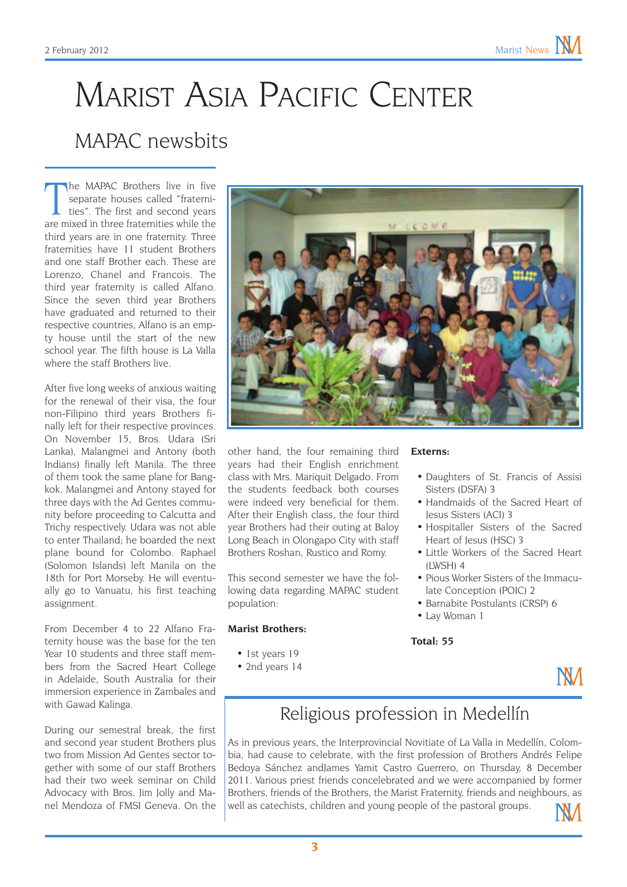## Marist Asia Pacific Center MAPAC newsbits

The MAPAC Brothers live in five separate houses called "fraternities". The first and second years are mixed in three fraternities while the he MAPAC Brothers live in five separate houses called "fraternities". The first and second years third years are in one fraternity. Three fraternities have 11 student Brothers and one staff Brother each. These are Lorenzo, Chanel and Francois. The third year fraternity is called Alfano. Since the seven third year Brothers have graduated and returned to their respective countries, Alfano is an empty house until the start of the new school year. The fifth house is La Valla where the staff Brothers live.

After five long weeks of anxious waiting for the renewal of their visa, the four non-Filipino third years Brothers finally left for their respective provinces. On November 15, Bros. Udara (Sri Lanka), Malangmei and Antony (both Indians) finally left Manila. The three of them took the same plane for Bangkok. Malangmei and Antony stayed for three days with the Ad Gentes community before proceeding to Calcutta and Trichy respectively. Udara was not able to enter Thailand; he boarded the next plane bound for Colombo. Raphael (Solomon Islands) left Manila on the 18th for Port Morseby. He will eventually go to Vanuatu, his first teaching assignment.

From December 4 to 22 Alfano Fraternity house was the base for the ten Year 10 students and three staff members from the Sacred Heart College in Adelaide, South Australia for their immersion experience in Zambales and with Gawad Kalinga.

During our semestral break, the first and second year student Brothers plus two from Mission Ad Gentes sector together with some of our staff Brothers had their two week seminar on Child Advocacy with Bros. Jim Jolly and Manel Mendoza of FMSI Geneva. On the



other hand, the four remaining third years had their English enrichment class with Mrs. Mariquit Delgado. From the students feedback both courses were indeed very beneficial for them. After their English class, the four third year Brothers had their outing at Baloy Long Beach in Olongapo City with staff Brothers Roshan, Rustico and Romy.

This second semester we have the following data regarding MAPAC student population:

### **Marist Brothers:**

- 1st years 19
- 2nd years 14

### **Externs:**

- Daughters of St. Francis of Assisi Sisters (DSFA) 3
- Handmaids of the Sacred Heart of Jesus Sisters (ACI) 3
- Hospitaller Sisters of the Sacred Heart of Jesus (HSC) 3
- • Little Workers of the Sacred Heart  $(IWSH)$   $\Lambda$
- Pious Worker Sisters of the Immaculate Conception (POIC) 2
- Barnabite Postulants (CRSP) 6
- Lay Woman 1

**Total: 55**



### Religious profession in Medellín

As in previous years, the Interprovincial Novitiate of La Valla in Medellín, Colombia, had cause to celebrate, with the first profession of Brothers Andrés Felipe Bedoya Sánchez andJames Yamit Castro Guerrero, on Thursday, 8 December 2011. Various priest friends concelebrated and we were accompanied by former Brothers, friends of the Brothers, the Marist Fraternity, friends and neighbours, as well as catechists, children and young people of the pastoral groups.